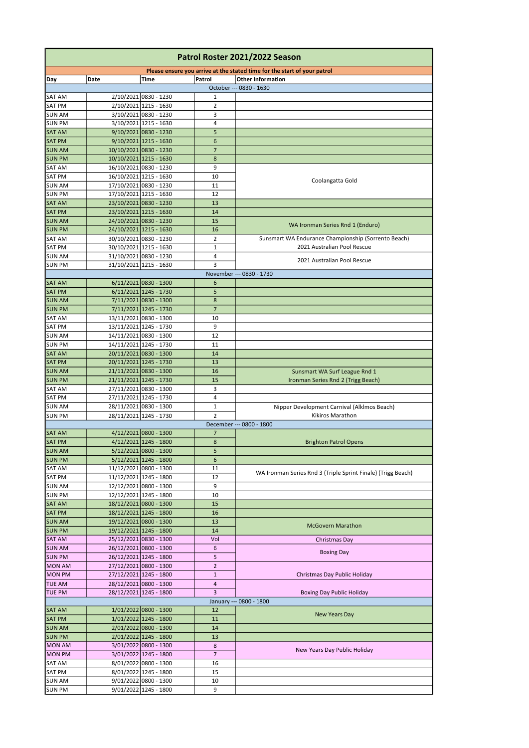| Patrol Roster 2021/2022 Season |                        |                                                  |                                |                                                                          |  |  |  |
|--------------------------------|------------------------|--------------------------------------------------|--------------------------------|--------------------------------------------------------------------------|--|--|--|
|                                |                        |                                                  |                                | Please ensure you arrive at the stated time for the start of your patrol |  |  |  |
| Day                            | Date                   | Time                                             | Patrol                         | <b>Other Information</b>                                                 |  |  |  |
| <b>SAT AM</b>                  |                        | 2/10/2021 0830 - 1230                            | 1                              | October --- 0830 - 1630                                                  |  |  |  |
| <b>SAT PM</b>                  |                        | 2/10/2021 1215 - 1630                            | $\overline{2}$                 |                                                                          |  |  |  |
| <b>SUN AM</b>                  |                        | 3/10/2021 0830 - 1230                            | 3                              |                                                                          |  |  |  |
| <b>SUN PM</b>                  |                        | 3/10/2021 1215 - 1630                            | 4                              |                                                                          |  |  |  |
| <b>SAT AM</b>                  |                        | $9/10/2021$ 0830 - 1230                          | 5                              |                                                                          |  |  |  |
| <b>SAT PM</b>                  |                        | $9/10/2021$ 1215 - 1630                          | $6\phantom{1}6$                |                                                                          |  |  |  |
| <b>SUN AM</b>                  |                        | 10/10/2021 0830 - 1230                           | $\overline{7}$                 |                                                                          |  |  |  |
| <b>SUN PM</b>                  |                        | 10/10/2021 1215 - 1630                           | 8                              |                                                                          |  |  |  |
| <b>SAT AM</b>                  |                        | 16/10/2021 0830 - 1230                           | 9                              |                                                                          |  |  |  |
| <b>SAT PM</b>                  |                        | 16/10/2021 1215 - 1630                           | 10                             | Coolangatta Gold                                                         |  |  |  |
| <b>SUN AM</b>                  |                        | 17/10/2021 0830 - 1230                           | 11                             |                                                                          |  |  |  |
| <b>SUN PM</b>                  |                        | 17/10/2021 1215 - 1630<br>23/10/2021 0830 - 1230 | 12<br>13                       |                                                                          |  |  |  |
| <b>SAT AM</b><br><b>SAT PM</b> |                        | 23/10/2021 1215 - 1630                           | 14                             |                                                                          |  |  |  |
| <b>SUN AM</b>                  |                        | 24/10/2021 0830 - 1230                           | 15                             |                                                                          |  |  |  |
| <b>SUN PM</b>                  |                        | 24/10/2021 1215 - 1630                           | 16                             | WA Ironman Series Rnd 1 (Enduro)                                         |  |  |  |
| <b>SAT AM</b>                  |                        | 30/10/2021 0830 - 1230                           | $\overline{2}$                 | Sunsmart WA Endurance Championship (Sorrento Beach)                      |  |  |  |
| <b>SAT PM</b>                  |                        | 30/10/2021 1215 - 1630                           | 1                              | 2021 Australian Pool Rescue                                              |  |  |  |
| <b>SUN AM</b>                  |                        | 31/10/2021 0830 - 1230                           | 4                              |                                                                          |  |  |  |
| <b>SUN PM</b>                  |                        | 31/10/2021 1215 - 1630                           | 3                              | 2021 Australian Pool Rescue                                              |  |  |  |
|                                |                        |                                                  |                                | November --- 0830 - 1730                                                 |  |  |  |
| <b>SAT AM</b>                  |                        | 6/11/2021 0830 - 1300                            | $6\phantom{1}6$                |                                                                          |  |  |  |
| <b>SAT PM</b>                  |                        | $6/11/2021$ 1245 - 1730                          | 5                              |                                                                          |  |  |  |
| <b>SUN AM</b>                  |                        | 7/11/2021 0830 - 1300                            | 8                              |                                                                          |  |  |  |
| <b>SUN PM</b>                  |                        | 7/11/2021 1245 - 1730                            | $\overline{7}$                 |                                                                          |  |  |  |
| <b>SAT AM</b><br><b>SAT PM</b> |                        | 13/11/2021 0830 - 1300                           | 10<br>9                        |                                                                          |  |  |  |
| <b>SUN AM</b>                  |                        | 13/11/2021 1245 - 1730<br>14/11/2021 0830 - 1300 | 12                             |                                                                          |  |  |  |
| <b>SUN PM</b>                  |                        | 14/11/2021 1245 - 1730                           | 11                             |                                                                          |  |  |  |
| <b>SAT AM</b>                  |                        | 20/11/2021 0830 - 1300                           | 14                             |                                                                          |  |  |  |
| <b>SAT PM</b>                  |                        | 20/11/2021 1245 - 1730                           | 13                             |                                                                          |  |  |  |
| <b>SUN AM</b>                  |                        | 21/11/2021 0830 - 1300                           | 16                             | Sunsmart WA Surf League Rnd 1                                            |  |  |  |
| <b>SUN PM</b>                  |                        | 21/11/2021 1245 - 1730                           | 15                             | Ironman Series Rnd 2 (Trigg Beach)                                       |  |  |  |
| <b>SAT AM</b>                  |                        | 27/11/2021 0830 - 1300                           | 3                              |                                                                          |  |  |  |
| <b>SAT PM</b>                  |                        | 27/11/2021 1245 - 1730                           | 4                              |                                                                          |  |  |  |
| <b>SUN AM</b>                  |                        | 28/11/2021 0830 - 1300                           | 1                              | Nipper Development Carnival (Alklmos Beach)                              |  |  |  |
| <b>SUN PM</b>                  |                        | 28/11/2021 1245 - 1730                           | $\overline{2}$                 | Kikiros Marathon                                                         |  |  |  |
|                                |                        |                                                  |                                | December --- 0800 - 1800                                                 |  |  |  |
| <b>SAT AM</b>                  |                        | 4/12/2021 0800 - 1300                            | 7                              |                                                                          |  |  |  |
| <b>SAT PM</b><br><b>SUN AM</b> |                        | 4/12/2021 1245 - 1800<br>5/12/2021 0800 - 1300   | 8<br>5                         | <b>Brighton Patrol Opens</b>                                             |  |  |  |
| <b>SUN PM</b>                  |                        | 5/12/2021 1245 - 1800                            | $\boldsymbol{6}$               |                                                                          |  |  |  |
| <b>SAT AM</b>                  |                        | 11/12/2021 0800 - 1300                           | 11                             |                                                                          |  |  |  |
| SAT PM                         |                        | 11/12/2021 1245 - 1800                           | 12                             | WA Ironman Series Rnd 3 (Triple Sprint Finale) (Trigg Beach)             |  |  |  |
| <b>SUN AM</b>                  |                        | 12/12/2021 0800 - 1300                           | 9                              |                                                                          |  |  |  |
| <b>SUN PM</b>                  |                        | 12/12/2021 1245 - 1800                           | 10                             |                                                                          |  |  |  |
| <b>SAT AM</b>                  |                        | 18/12/2021 0800 - 1300                           | 15                             |                                                                          |  |  |  |
| <b>SAT PM</b>                  | 18/12/2021 1245 - 1800 |                                                  | 16                             |                                                                          |  |  |  |
| <b>SUN AM</b>                  |                        | 19/12/2021 0800 - 1300                           | 13                             | <b>McGovern Marathon</b>                                                 |  |  |  |
| <b>SUN PM</b>                  |                        | 19/12/2021 1245 - 1800                           | 14                             |                                                                          |  |  |  |
| <b>SAT AM</b>                  |                        | 25/12/2021 0830 - 1300                           | Vol                            | Christmas Day                                                            |  |  |  |
| <b>SUN AM</b>                  |                        | 26/12/2021 0800 - 1300                           | 6                              | <b>Boxing Day</b>                                                        |  |  |  |
| <b>SUN PM</b>                  |                        | 26/12/2021 1245 - 1800                           | 5                              |                                                                          |  |  |  |
| <b>MON AM</b>                  |                        | 27/12/2021 0800 - 1300                           | $\overline{2}$<br>$\mathbf{1}$ |                                                                          |  |  |  |
| <b>MON PM</b>                  |                        | 27/12/2021 1245 - 1800                           | 4                              | Christmas Day Public Holiday                                             |  |  |  |
| <b>TUE AM</b><br><b>TUE PM</b> |                        | 28/12/2021 0800 - 1300<br>28/12/2021 1245 - 1800 | 3                              | <b>Boxing Day Public Holiday</b>                                         |  |  |  |
|                                |                        |                                                  |                                | January --- 0800 - 1800                                                  |  |  |  |
| <b>SAT AM</b>                  |                        | 1/01/2022 0800 - 1300                            | 12                             |                                                                          |  |  |  |
| <b>SAT PM</b>                  |                        | 1/01/2022 1245 - 1800                            | 11                             | <b>New Years Day</b>                                                     |  |  |  |
| <b>SUN AM</b>                  |                        | 2/01/2022 0800 - 1300                            | 14                             |                                                                          |  |  |  |
| <b>SUN PM</b>                  |                        | 2/01/2022 1245 - 1800                            | 13                             |                                                                          |  |  |  |
| <b>MON AM</b>                  |                        | 3/01/2022 0800 - 1300                            | 8                              | New Years Day Public Holiday                                             |  |  |  |
| <b>MON PM</b>                  |                        | 3/01/2022 1245 - 1800                            | $\overline{7}$                 |                                                                          |  |  |  |
| SAT AM                         |                        | 8/01/2022 0800 - 1300                            | 16                             |                                                                          |  |  |  |
| <b>SAT PM</b>                  |                        | 8/01/2022 1245 - 1800                            | 15                             |                                                                          |  |  |  |
| <b>SUN AM</b>                  |                        | $9/01/2022$ 0800 - 1300                          | 10                             |                                                                          |  |  |  |
| <b>SUN PM</b>                  |                        | 9/01/2022 1245 - 1800                            | 9                              |                                                                          |  |  |  |